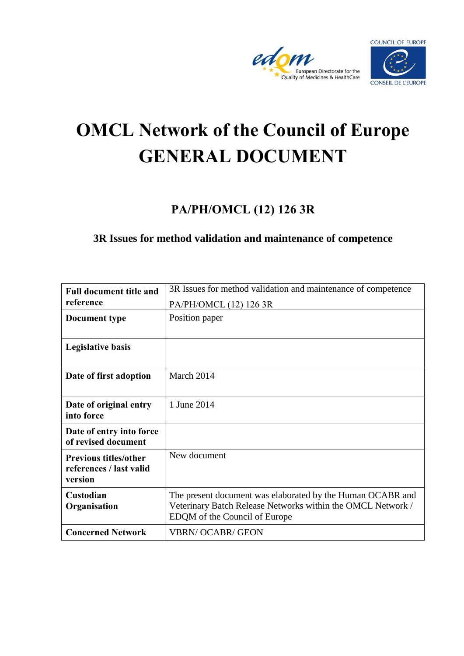



# **OMCL Network of the Council of Europe GENERAL DOCUMENT**

# **PA/PH/OMCL (12) 126 3R**

# **3R Issues for method validation and maintenance of competence**

| <b>Full document title and</b>                                     | 3R Issues for method validation and maintenance of competence                                                                                              |
|--------------------------------------------------------------------|------------------------------------------------------------------------------------------------------------------------------------------------------------|
| reference                                                          | PA/PH/OMCL (12) 126 3R                                                                                                                                     |
| Document type                                                      | Position paper                                                                                                                                             |
|                                                                    |                                                                                                                                                            |
| <b>Legislative basis</b>                                           |                                                                                                                                                            |
| Date of first adoption                                             | March 2014                                                                                                                                                 |
| Date of original entry<br>into force                               | 1 June 2014                                                                                                                                                |
| Date of entry into force<br>of revised document                    |                                                                                                                                                            |
| <b>Previous titles/other</b><br>references / last valid<br>version | New document                                                                                                                                               |
| Custodian<br>Organisation                                          | The present document was elaborated by the Human OCABR and<br>Veterinary Batch Release Networks within the OMCL Network /<br>EDQM of the Council of Europe |
| <b>Concerned Network</b>                                           | <b>VBRN/OCABR/GEON</b>                                                                                                                                     |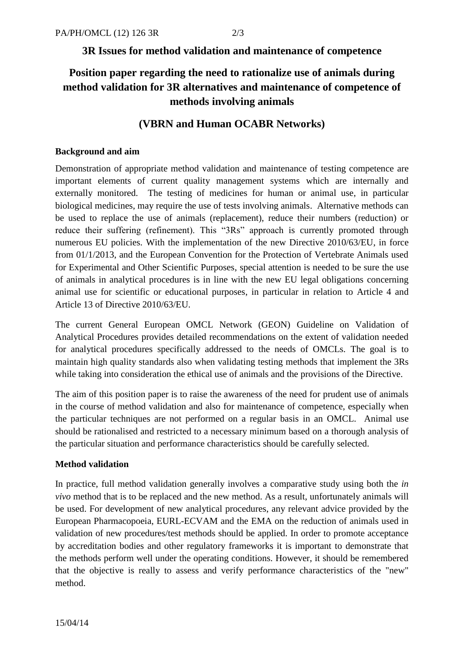## **3R Issues for method validation and maintenance of competence**

# **Position paper regarding the need to rationalize use of animals during method validation for 3R alternatives and maintenance of competence of methods involving animals**

## **(VBRN and Human OCABR Networks)**

## **Background and aim**

Demonstration of appropriate method validation and maintenance of testing competence are important elements of current quality management systems which are internally and externally monitored. The testing of medicines for human or animal use, in particular biological medicines, may require the use of tests involving animals. Alternative methods can be used to replace the use of animals (replacement), reduce their numbers (reduction) or reduce their suffering (refinement). This "3Rs" approach is currently promoted through numerous EU policies. With the implementation of the new Directive 2010/63/EU, in force from 01/1/2013, and the European Convention for the Protection of Vertebrate Animals used for Experimental and Other Scientific Purposes, special attention is needed to be sure the use of animals in analytical procedures is in line with the new EU legal obligations concerning animal use for scientific or educational purposes, in particular in relation to Article 4 and Article 13 of Directive 2010/63/EU.

The current General European OMCL Network (GEON) Guideline on Validation of Analytical Procedures provides detailed recommendations on the extent of validation needed for analytical procedures specifically addressed to the needs of OMCLs. The goal is to maintain high quality standards also when validating testing methods that implement the 3Rs while taking into consideration the ethical use of animals and the provisions of the Directive.

The aim of this position paper is to raise the awareness of the need for prudent use of animals in the course of method validation and also for maintenance of competence, especially when the particular techniques are not performed on a regular basis in an OMCL. Animal use should be rationalised and restricted to a necessary minimum based on a thorough analysis of the particular situation and performance characteristics should be carefully selected.

## **Method validation**

In practice, full method validation generally involves a comparative study using both the *in vivo* method that is to be replaced and the new method. As a result, unfortunately animals will be used. For development of new analytical procedures, any relevant advice provided by the European Pharmacopoeia, EURL-ECVAM and the EMA on the reduction of animals used in validation of new procedures/test methods should be applied. In order to promote acceptance by accreditation bodies and other regulatory frameworks it is important to demonstrate that the methods perform well under the operating conditions. However, it should be remembered that the objective is really to assess and verify performance characteristics of the "new" method.